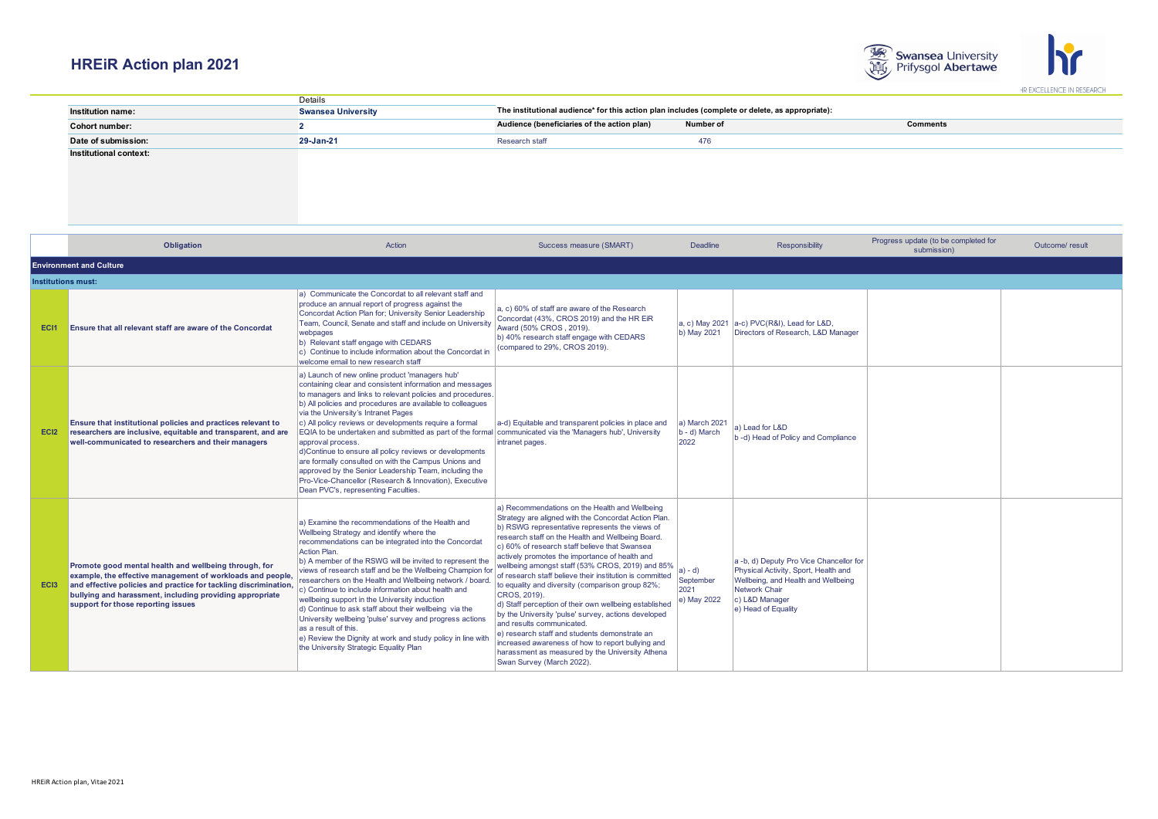

|                               | Details                   |                                                                                                 |           |                 |  |  |
|-------------------------------|---------------------------|-------------------------------------------------------------------------------------------------|-----------|-----------------|--|--|
| <b>Institution name:</b>      | <b>Swansea University</b> | The institutional audience* for this action plan includes (complete or delete, as appropriate): |           |                 |  |  |
| Cohort number:                |                           | Audience (beneficiaries of the action plan)                                                     | Number of | <b>Comments</b> |  |  |
| Date of submission:           | 29-Jan-21                 | Research staff                                                                                  | 476       |                 |  |  |
| <b>Institutional context:</b> |                           |                                                                                                 |           |                 |  |  |
|                               |                           |                                                                                                 |           |                 |  |  |
|                               |                           |                                                                                                 |           |                 |  |  |

|                           | Obligation                                                                                                                                                                                                                                                                                | Action                                                                                                                                                                                                                                                                                                                                                                                                                                                                                                                                                                                                                                                                                                                                                 | Success measure (SMART)                                                                                                                                                                                                                                                                                                                                                                                                                                                                                                                                                                                                                                                                                                                                                                                                                    | <b>Deadline</b>                             | <b>Responsibility</b>                                                                                                                                                            | Progress update (to be completed for<br>submission) | Outcome/ result |  |  |  |  |
|---------------------------|-------------------------------------------------------------------------------------------------------------------------------------------------------------------------------------------------------------------------------------------------------------------------------------------|--------------------------------------------------------------------------------------------------------------------------------------------------------------------------------------------------------------------------------------------------------------------------------------------------------------------------------------------------------------------------------------------------------------------------------------------------------------------------------------------------------------------------------------------------------------------------------------------------------------------------------------------------------------------------------------------------------------------------------------------------------|--------------------------------------------------------------------------------------------------------------------------------------------------------------------------------------------------------------------------------------------------------------------------------------------------------------------------------------------------------------------------------------------------------------------------------------------------------------------------------------------------------------------------------------------------------------------------------------------------------------------------------------------------------------------------------------------------------------------------------------------------------------------------------------------------------------------------------------------|---------------------------------------------|----------------------------------------------------------------------------------------------------------------------------------------------------------------------------------|-----------------------------------------------------|-----------------|--|--|--|--|
|                           | <b>Environment and Culture</b>                                                                                                                                                                                                                                                            |                                                                                                                                                                                                                                                                                                                                                                                                                                                                                                                                                                                                                                                                                                                                                        |                                                                                                                                                                                                                                                                                                                                                                                                                                                                                                                                                                                                                                                                                                                                                                                                                                            |                                             |                                                                                                                                                                                  |                                                     |                 |  |  |  |  |
| <b>Institutions must:</b> |                                                                                                                                                                                                                                                                                           |                                                                                                                                                                                                                                                                                                                                                                                                                                                                                                                                                                                                                                                                                                                                                        |                                                                                                                                                                                                                                                                                                                                                                                                                                                                                                                                                                                                                                                                                                                                                                                                                                            |                                             |                                                                                                                                                                                  |                                                     |                 |  |  |  |  |
| <b>ECI1</b>               | <b>Ensure that all relevant staff are aware of the Concordat</b>                                                                                                                                                                                                                          | a) Communicate the Concordat to all relevant staff and<br>produce an annual report of progress against the<br>Concordat Action Plan for; University Senior Leadership<br>Team, Council, Senate and staff and include on University<br>webpages<br>b) Relevant staff engage with CEDARS<br>c) Continue to include information about the Concordat in<br>welcome email to new research staff                                                                                                                                                                                                                                                                                                                                                             | a, c) 60% of staff are aware of the Research<br>Concordat (43%, CROS 2019) and the HR EiR<br>Award (50% CROS, 2019).<br>b) 40% research staff engage with CEDARS<br>(compared to 29%, CROS 2019).                                                                                                                                                                                                                                                                                                                                                                                                                                                                                                                                                                                                                                          | a, c) May 2021<br>b) May 2021               | a-c) PVC(R&I), Lead for L&D,<br>Directors of Research, L&D Manager                                                                                                               |                                                     |                 |  |  |  |  |
| EC <sub>12</sub>          | Ensure that institutional policies and practices relevant to<br>researchers are inclusive, equitable and transparent, and are<br>well-communicated to researchers and their managers                                                                                                      | a) Launch of new online product 'managers hub'<br>containing clear and consistent information and messages<br>to managers and links to relevant policies and procedures.<br>b) All policies and procedures are available to colleagues<br>via the University's Intranet Pages<br>c) All policy reviews or developments require a formal<br>EQIA to be undertaken and submitted as part of the formal communicated via the 'Managers hub', University<br>approval process.<br>d)Continue to ensure all policy reviews or developments<br>are formally consulted on with the Campus Unions and<br>approved by the Senior Leadership Team, including the<br>Pro-Vice-Chancellor (Research & Innovation), Executive<br>Dean PVC's, representing Faculties. | a-d) Equitable and transparent policies in place and<br>intranet pages.                                                                                                                                                                                                                                                                                                                                                                                                                                                                                                                                                                                                                                                                                                                                                                    | a) March 2021<br>b - d) March<br>2022       | a) Lead for L&D<br>b-d) Head of Policy and Compliance                                                                                                                            |                                                     |                 |  |  |  |  |
| EC <sub>13</sub>          | Promote good mental health and wellbeing through, for<br>example, the effective management of workloads and people,<br>and effective policies and practice for tackling discrimination,<br>bullying and harassment, including providing appropriate<br>support for those reporting issues | a) Examine the recommendations of the Health and<br>Wellbeing Strategy and identify where the<br>recommendations can be integrated into the Concordat<br>Action Plan.<br>b) A member of the RSWG will be invited to represent the<br>views of research staff and be the Wellbeing Champion for<br>researchers on the Health and Wellbeing network / board<br>c) Continue to include information about health and<br>wellbeing support in the University induction<br>d) Continue to ask staff about their wellbeing via the<br>University wellbeing 'pulse' survey and progress actions<br>as a result of this.<br>e) Review the Dignity at work and study policy in line with<br>the University Strategic Equality Plan                               | a) Recommendations on the Health and Wellbeing<br>Strategy are aligned with the Concordat Action Plan.<br>(b) RSWG representative represents the views of<br>research staff on the Health and Wellbeing Board.<br>c) 60% of research staff believe that Swansea<br>actively promotes the importance of health and<br>wellbeing amongst staff (53% CROS, 2019) and 85%<br>of research staff believe their institution is committed<br>to equality and diversity (comparison group 82%;<br>CROS, 2019).<br>d) Staff perception of their own wellbeing established<br>by the University 'pulse' survey, actions developed<br>and results communicated.<br>le) research staff and students demonstrate an<br>increased awareness of how to report bullying and<br>harassment as measured by the University Athena<br>Swan Survey (March 2022). | a) - d)<br>September<br>2021<br>e) May 2022 | a -b, d) Deputy Pro Vice Chancellor for<br>Physical Activity, Sport, Health and<br>Wellbeing, and Health and Wellbeing<br>Network Chair<br>c) L&D Manager<br>e) Head of Equality |                                                     |                 |  |  |  |  |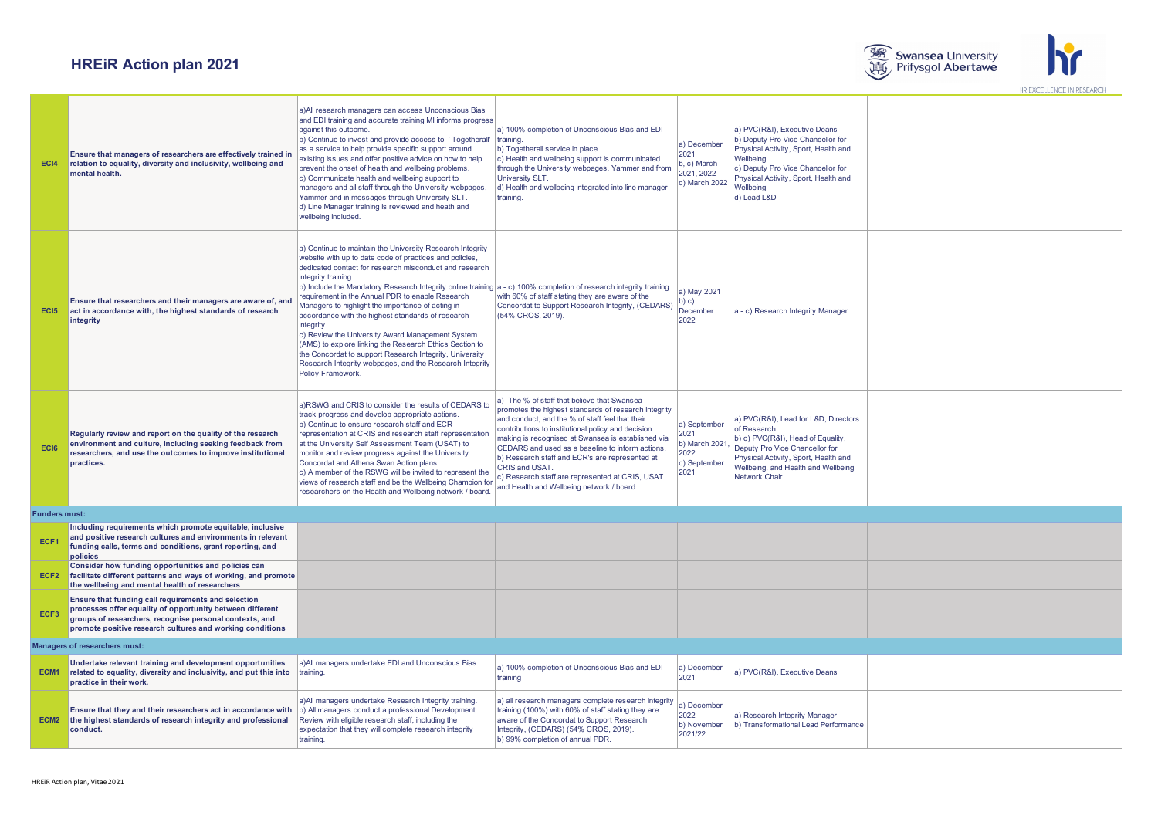



| EC <sub>I4</sub>                     | Ensure that managers of researchers are effectively trained in<br>relation to equality, diversity and inclusivity, wellbeing and<br>mental health.                                                                                       | a) All research managers can access Unconscious Bias<br>and EDI training and accurate training MI informs progress<br>against this outcome<br>b) Continue to invest and provide access to 'Togetherall' training.<br>as a service to help provide specific support around<br>existing issues and offer positive advice on how to help<br>prevent the onset of health and wellbeing problems.<br>c) Communicate health and wellbeing support to<br>managers and all staff through the University webpages,<br>Yammer and in messages through University SLT.<br>d) Line Manager training is reviewed and heath and<br>wellbeing included.                                                                                                                           | a) 100% completion of Unconscious Bias and EDI<br>b) Togetherall service in place.<br>c) Health and wellbeing support is communicated<br>through the University webpages, Yammer and from<br>University SLT.<br>d) Health and wellbeing integrated into line manager<br>training.                                                                                                                                                                                                          | a) December<br>2021<br>b, c) March<br>2021, 2022<br>d) March 2022     | a) PVC(R&I), Executive Deans<br>b) Deputy Pro Vice Chancellor for<br>Physical Activity, Sport, Health and<br>Wellbeing<br>c) Deputy Pro Vice Chancellor for<br>Physical Activity, Sport, Health and<br>Wellbeing<br>d) Lead L&D |  |  |
|--------------------------------------|------------------------------------------------------------------------------------------------------------------------------------------------------------------------------------------------------------------------------------------|--------------------------------------------------------------------------------------------------------------------------------------------------------------------------------------------------------------------------------------------------------------------------------------------------------------------------------------------------------------------------------------------------------------------------------------------------------------------------------------------------------------------------------------------------------------------------------------------------------------------------------------------------------------------------------------------------------------------------------------------------------------------|--------------------------------------------------------------------------------------------------------------------------------------------------------------------------------------------------------------------------------------------------------------------------------------------------------------------------------------------------------------------------------------------------------------------------------------------------------------------------------------------|-----------------------------------------------------------------------|---------------------------------------------------------------------------------------------------------------------------------------------------------------------------------------------------------------------------------|--|--|
| EC <sub>I5</sub>                     | Ensure that researchers and their managers are aware of, and<br>act in accordance with, the highest standards of research<br>integrity                                                                                                   | a) Continue to maintain the University Research Integrity<br>website with up to date code of practices and policies,<br>dedicated contact for research misconduct and research<br>integrity training.<br>b) Include the Mandatory Research Integrity online training   a - c) 100% completion of research integrity training<br>requirement in the Annual PDR to enable Research<br>Managers to highlight the importance of acting in<br>accordance with the highest standards of research<br>integrity.<br>c) Review the University Award Management System<br>(AMS) to explore linking the Research Ethics Section to<br>the Concordat to support Research Integrity, University<br>Research Integrity webpages, and the Research Integrity<br>Policy Framework. | with 60% of staff stating they are aware of the<br>Concordat to Support Research Integrity, (CEDARS)<br>(54% CROS, 2019).                                                                                                                                                                                                                                                                                                                                                                  | a) May 2021<br>b) c)<br>December<br>2022                              | a - c) Research Integrity Manager                                                                                                                                                                                               |  |  |
| <b>ECI6</b>                          | Regularly review and report on the quality of the research<br>environment and culture, including seeking feedback from<br>researchers, and use the outcomes to improve institutional<br>practices.                                       | a)RSWG and CRIS to consider the results of CEDARS to<br>track progress and develop appropriate actions.<br>b) Continue to ensure research staff and ECR<br>representation at CRIS and research staff representation<br>at the University Self Assessment Team (USAT) to<br>monitor and review progress against the University<br>Concordat and Athena Swan Action plans.<br>c) A member of the RSWG will be invited to represent the<br>views of research staff and be the Wellbeing Champion for<br>researchers on the Health and Wellbeing network / board.                                                                                                                                                                                                      | a) The % of staff that believe that Swansea<br>promotes the highest standards of research integrity<br>and conduct, and the % of staff feel that their<br>contributions to institutional policy and decision<br>making is recognised at Swansea is established via<br>CEDARS and used as a baseline to inform actions.<br>b) Research staff and ECR's are represented at<br>CRIS and USAT.<br>c) Research staff are represented at CRIS, USAT<br>and Health and Wellbeing network / board. | a) September<br>2021<br>b) March 2021<br>2022<br>c) September<br>2021 | a) PVC(R&I), Lead for L&D, Directors<br>of Research<br>b) c) PVC(R&I), Head of Equality,<br>Deputy Pro Vice Chancellor for<br>Physical Activity, Sport, Health and<br>Wellbeing, and Health and Wellbeing<br>Network Chair      |  |  |
|                                      | <b>Funders must:</b>                                                                                                                                                                                                                     |                                                                                                                                                                                                                                                                                                                                                                                                                                                                                                                                                                                                                                                                                                                                                                    |                                                                                                                                                                                                                                                                                                                                                                                                                                                                                            |                                                                       |                                                                                                                                                                                                                                 |  |  |
| ECF1                                 | Including requirements which promote equitable, inclusive<br>and positive research cultures and environments in relevant<br>funding calls, terms and conditions, grant reporting, and<br>policies                                        |                                                                                                                                                                                                                                                                                                                                                                                                                                                                                                                                                                                                                                                                                                                                                                    |                                                                                                                                                                                                                                                                                                                                                                                                                                                                                            |                                                                       |                                                                                                                                                                                                                                 |  |  |
| ECF <sub>2</sub>                     | Consider how funding opportunities and policies can<br>facilitate different patterns and ways of working, and promote<br>the wellbeing and mental health of researchers                                                                  |                                                                                                                                                                                                                                                                                                                                                                                                                                                                                                                                                                                                                                                                                                                                                                    |                                                                                                                                                                                                                                                                                                                                                                                                                                                                                            |                                                                       |                                                                                                                                                                                                                                 |  |  |
| ECF <sub>3</sub>                     | Ensure that funding call requirements and selection<br>processes offer equality of opportunity between different<br>groups of researchers, recognise personal contexts, and<br>promote positive research cultures and working conditions |                                                                                                                                                                                                                                                                                                                                                                                                                                                                                                                                                                                                                                                                                                                                                                    |                                                                                                                                                                                                                                                                                                                                                                                                                                                                                            |                                                                       |                                                                                                                                                                                                                                 |  |  |
| <b>Managers of researchers must:</b> |                                                                                                                                                                                                                                          |                                                                                                                                                                                                                                                                                                                                                                                                                                                                                                                                                                                                                                                                                                                                                                    |                                                                                                                                                                                                                                                                                                                                                                                                                                                                                            |                                                                       |                                                                                                                                                                                                                                 |  |  |
| ECM <sub>1</sub>                     | Undertake relevant training and development opportunities<br>related to equality, diversity and inclusivity, and put this into<br>practice in their work.                                                                                | a) All managers undertake EDI and Unconscious Bias<br>training.                                                                                                                                                                                                                                                                                                                                                                                                                                                                                                                                                                                                                                                                                                    | a) 100% completion of Unconscious Bias and EDI<br>training                                                                                                                                                                                                                                                                                                                                                                                                                                 | a) December<br>2021                                                   | a) PVC(R&I), Executive Deans                                                                                                                                                                                                    |  |  |
| ECM <sub>2</sub>                     | Ensure that they and their researchers act in accordance with<br>the highest standards of research integrity and professional<br>conduct.                                                                                                | a) All managers undertake Research Integrity training.<br>b) All managers conduct a professional Development<br>Review with eligible research staff, including the<br>expectation that they will complete research integrity<br>training.                                                                                                                                                                                                                                                                                                                                                                                                                                                                                                                          | a) all research managers complete research integrity<br>training (100%) with 60% of staff stating they are<br>aware of the Concordat to Support Research<br>Integrity, (CEDARS) (54% CROS, 2019).<br>b) 99% completion of annual PDR.                                                                                                                                                                                                                                                      | a) December<br>2022<br>b) November<br>2021/22                         | a) Research Integrity Manager<br>b) Transformational Lead Performance                                                                                                                                                           |  |  |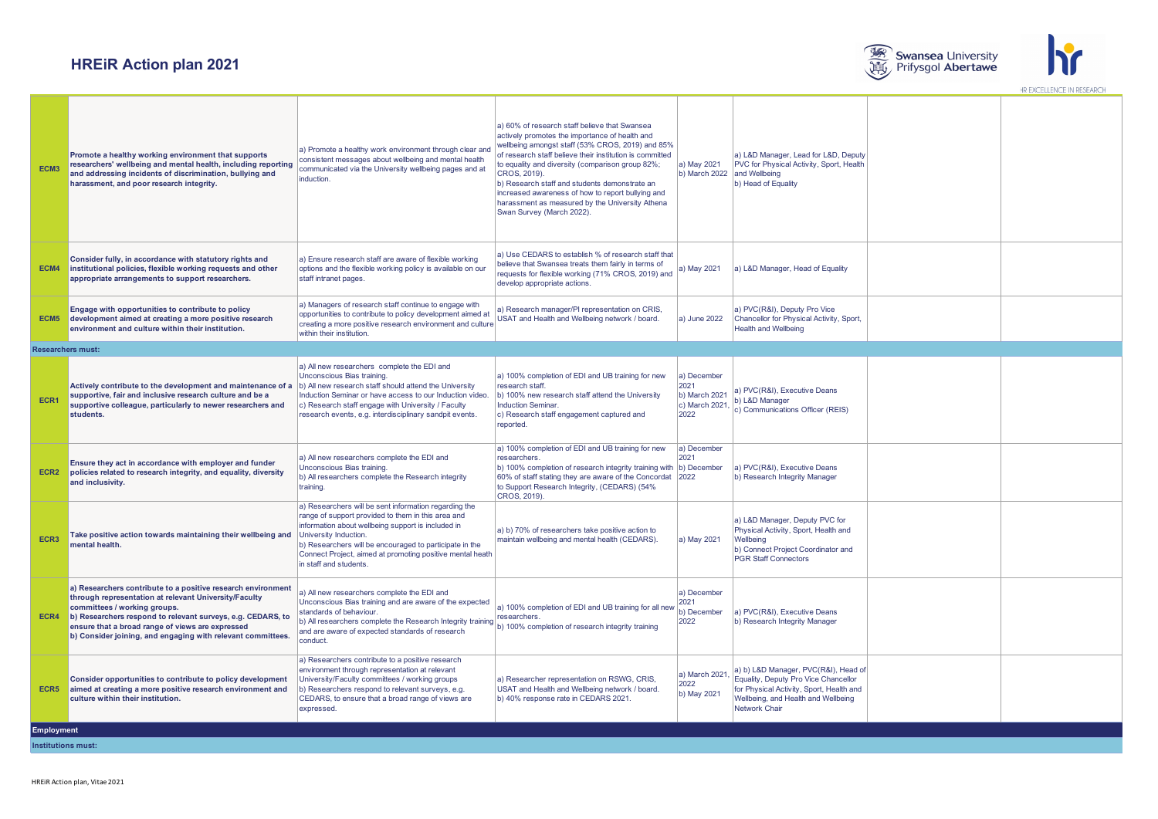



| ECM <sub>3</sub>  | Promote a healthy working environment that supports<br>researchers' wellbeing and mental health, including reporting<br>and addressing incidents of discrimination, bullying and<br>harassment, and poor research integrity.                                                                                                                 | a) Promote a healthy work environment through clear and<br>consistent messages about wellbeing and mental health<br>communicated via the University wellbeing pages and at<br>induction.                                                                                                                                                                                                           | a) 60% of research staff believe that Swansea<br>actively promotes the importance of health and<br>wellbeing amongst staff (53% CROS, 2019) and 85%<br>of research staff believe their institution is committed<br>to equality and diversity (comparison group 82%;<br>CROS. 2019).<br>b) Research staff and students demonstrate an<br>increased awareness of how to report bullying and<br>harassment as measured by the University Athena<br>Swan Survey (March 2022) | a) May 2021<br>b) March 2022                                   | a) L&D Manager, Lead for L&D, Deputy<br>PVC for Physical Activity, Sport, Health<br>and Wellbeing<br>b) Head of Equality                                                         |  |  |  |  |
|-------------------|----------------------------------------------------------------------------------------------------------------------------------------------------------------------------------------------------------------------------------------------------------------------------------------------------------------------------------------------|----------------------------------------------------------------------------------------------------------------------------------------------------------------------------------------------------------------------------------------------------------------------------------------------------------------------------------------------------------------------------------------------------|--------------------------------------------------------------------------------------------------------------------------------------------------------------------------------------------------------------------------------------------------------------------------------------------------------------------------------------------------------------------------------------------------------------------------------------------------------------------------|----------------------------------------------------------------|----------------------------------------------------------------------------------------------------------------------------------------------------------------------------------|--|--|--|--|
| ECM4              | Consider fully, in accordance with statutory rights and<br>institutional policies, flexible working requests and other<br>appropriate arrangements to support researchers.                                                                                                                                                                   | a) Ensure research staff are aware of flexible working<br>options and the flexible working policy is available on our<br>staff intranet pages.                                                                                                                                                                                                                                                     | a) Use CEDARS to establish % of research staff that<br>believe that Swansea treats them fairly in terms of<br>requests for flexible working (71% CROS, 2019) and<br>develop appropriate actions.                                                                                                                                                                                                                                                                         | a) May 2021                                                    | a) L&D Manager, Head of Equality                                                                                                                                                 |  |  |  |  |
| ECM <sub>5</sub>  | Engage with opportunities to contribute to policy<br>development aimed at creating a more positive research<br>environment and culture within their institution.                                                                                                                                                                             | a) Managers of research staff continue to engage with<br>opportunities to contribute to policy development aimed at<br>creating a more positive research environment and culture<br>within their institution.                                                                                                                                                                                      | a) Research manager/PI representation on CRIS,<br><b>JSAT and Health and Wellbeing network / board.</b>                                                                                                                                                                                                                                                                                                                                                                  | a) June 2022                                                   | a) PVC(R&I), Deputy Pro Vice<br>Chancellor for Physical Activity, Sport,<br><b>Health and Wellbeing</b>                                                                          |  |  |  |  |
|                   | <b>Researchers must:</b>                                                                                                                                                                                                                                                                                                                     |                                                                                                                                                                                                                                                                                                                                                                                                    |                                                                                                                                                                                                                                                                                                                                                                                                                                                                          |                                                                |                                                                                                                                                                                  |  |  |  |  |
| ECR1              | Actively contribute to the development and maintenance of a<br>supportive, fair and inclusive research culture and be a<br>supportive colleague, particularly to newer researchers and<br>students.                                                                                                                                          | a) All new researchers complete the EDI and<br>Unconscious Bias training.<br>b) All new research staff should attend the University<br>Induction Seminar or have access to our Induction video.<br>c) Research staff engage with University / Faculty<br>research events, e.g. interdisciplinary sandpit events.                                                                                   | a) 100% completion of EDI and UB training for new<br>research staff.<br>b) 100% new research staff attend the University<br>Induction Seminar.<br>c) Research staff engagement captured and<br>reported.                                                                                                                                                                                                                                                                 | a) December<br>2021<br>b) March 2021<br>c) March 2021,<br>2022 | a) PVC(R&I), Executive Deans<br>b) L&D Manager<br>c) Communications Officer (REIS)                                                                                               |  |  |  |  |
| ECR <sub>2</sub>  | Ensure they act in accordance with employer and funder<br>policies related to research integrity, and equality, diversity<br>and inclusivity.                                                                                                                                                                                                | a) All new researchers complete the EDI and<br>Unconscious Bias training.<br>b) All researchers complete the Research integrity<br>training.                                                                                                                                                                                                                                                       | a) 100% completion of EDI and UB training for new<br>researchers<br>b) 100% completion of research integrity training with (b) December<br>60% of staff stating they are aware of the Concordat 2022<br>to Support Research Integrity, (CEDARS) (54%<br>CROS, 2019).                                                                                                                                                                                                     | a) December<br>2021                                            | a) PVC(R&I), Executive Deans<br>b) Research Integrity Manager                                                                                                                    |  |  |  |  |
| ECR <sub>3</sub>  | Take positive action towards maintaining their wellbeing and<br>mental health.                                                                                                                                                                                                                                                               | a) Researchers will be sent information regarding the<br>range of support provided to them in this area and<br>information about wellbeing support is included in<br>University Induction.<br>b) Researchers will be encouraged to participate in the<br>Connect Project, aimed at promoting positive mental heath<br>in staff and students                                                        | a) b) 70% of researchers take positive action to<br>maintain wellbeing and mental health (CEDARS).                                                                                                                                                                                                                                                                                                                                                                       | a) May 2021                                                    | a) L&D Manager, Deputy PVC for<br>Physical Activity, Sport, Health and<br>Wellbeing<br>b) Connect Project Coordinator and<br><b>PGR Staff Connectors</b>                         |  |  |  |  |
|                   | a) Researchers contribute to a positive research environment<br>through representation at relevant University/Faculty<br>committees / working groups.<br>ECR4 b) Researchers respond to relevant surveys, e.g. CEDARS, to<br>ensure that a broad range of views are expressed<br>b) Consider joining, and engaging with relevant committees. | a) All new researchers complete the EDI and<br>Unconscious Bias training and are aware of the expected<br>standards of behaviour.<br>b) All researchers complete the Research Integrity training   ' cover shorts<br>(b) All researchers complete the Research Integrity training   ' 50% completion of research integrity training<br>and are aware of expected standards of research<br>conduct. | a) 100% completion of EDI and UB training for all new                                                                                                                                                                                                                                                                                                                                                                                                                    | a) December<br>2021<br>b) December<br>2022                     | a) PVC(R&I), Executive Deans<br>b) Research Integrity Manager                                                                                                                    |  |  |  |  |
| ECR5              | Consider opportunities to contribute to policy development<br>aimed at creating a more positive research environment and<br>culture within their institution.                                                                                                                                                                                | a) Researchers contribute to a positive research<br>environment through representation at relevant<br>University/Faculty committees / working groups<br>b) Researchers respond to relevant surveys, e.g.<br>CEDARS, to ensure that a broad range of views are<br>expressed.                                                                                                                        | a) Researcher representation on RSWG, CRIS,<br>USAT and Health and Wellbeing network / board.<br>b) 40% response rate in CEDARS 2021.                                                                                                                                                                                                                                                                                                                                    | a) March 2021,<br>2022<br>b) May 2021                          | a) b) L&D Manager, PVC(R&I), Head of<br>Equality, Deputy Pro Vice Chancellor<br>for Physical Activity, Sport, Health and<br>Wellbeing, and Health and Wellbeing<br>Network Chair |  |  |  |  |
| <b>Employment</b> |                                                                                                                                                                                                                                                                                                                                              |                                                                                                                                                                                                                                                                                                                                                                                                    |                                                                                                                                                                                                                                                                                                                                                                                                                                                                          |                                                                |                                                                                                                                                                                  |  |  |  |  |
|                   | <b>Institutions must:</b>                                                                                                                                                                                                                                                                                                                    |                                                                                                                                                                                                                                                                                                                                                                                                    |                                                                                                                                                                                                                                                                                                                                                                                                                                                                          |                                                                |                                                                                                                                                                                  |  |  |  |  |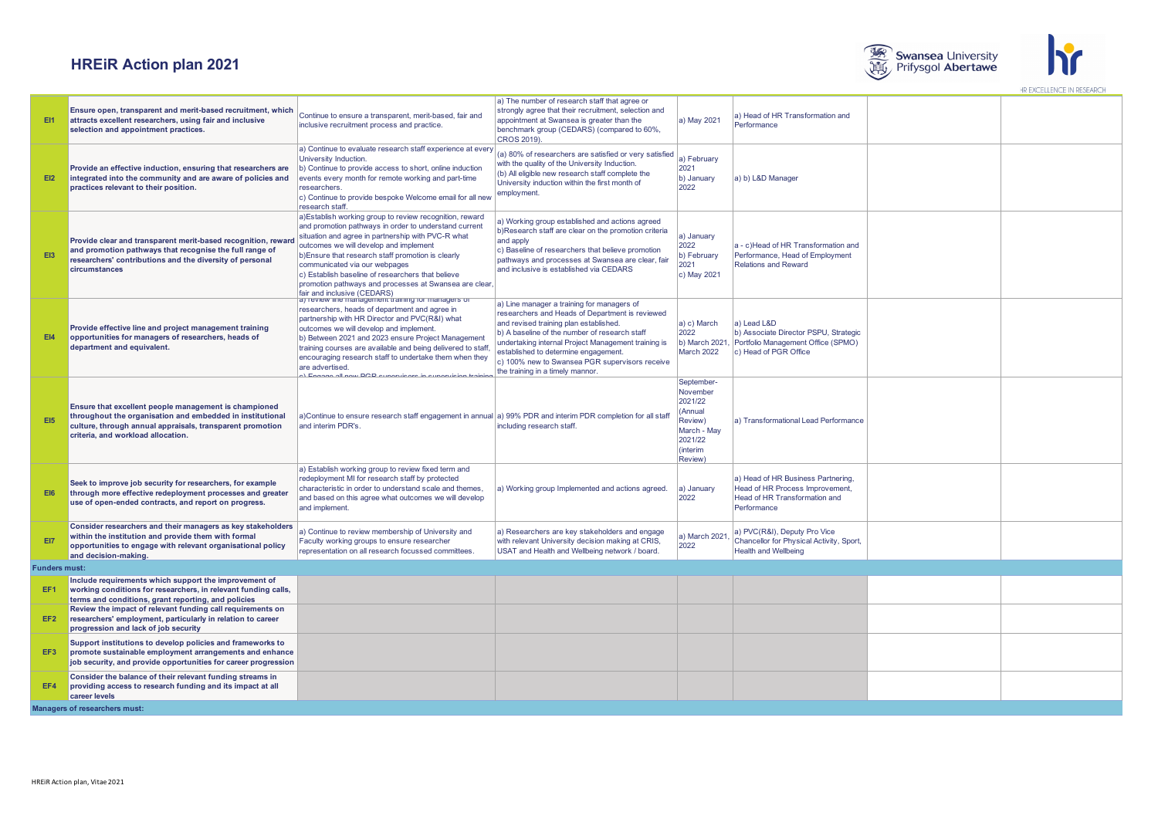



| <b>EI1</b>           | Ensure open, transparent and merit-based recruitment, which<br>attracts excellent researchers, using fair and inclusive<br>selection and appointment practices.                                                       | Continue to ensure a transparent, merit-based, fair and<br>inclusive recruitment process and practice.                                                                                                                                                                                                                                                                                                                                                     | a) The number of research staff that agree or<br>strongly agree that their recruitment, selection and<br>appointment at Swansea is greater than the<br>benchmark group (CEDARS) (compared to 60%,<br>CROS 2019).                                                                                                                                                              | a) May 2021                                                                                              | a) Head of HR Transformation and<br>Performance                                                                       |  |  |  |  |
|----------------------|-----------------------------------------------------------------------------------------------------------------------------------------------------------------------------------------------------------------------|------------------------------------------------------------------------------------------------------------------------------------------------------------------------------------------------------------------------------------------------------------------------------------------------------------------------------------------------------------------------------------------------------------------------------------------------------------|-------------------------------------------------------------------------------------------------------------------------------------------------------------------------------------------------------------------------------------------------------------------------------------------------------------------------------------------------------------------------------|----------------------------------------------------------------------------------------------------------|-----------------------------------------------------------------------------------------------------------------------|--|--|--|--|
| E12                  | Provide an effective induction, ensuring that researchers are<br>integrated into the community and are aware of policies and<br>practices relevant to their position.                                                 | a) Continue to evaluate research staff experience at every<br>University Induction.<br>b) Continue to provide access to short, online induction<br>events every month for remote working and part-time<br>researchers.<br>c) Continue to provide bespoke Welcome email for all new<br>research staff                                                                                                                                                       | (a) 80% of researchers are satisfied or very satisfied<br>with the quality of the University Induction.<br>(b) All eligible new research staff complete the<br>University induction within the first month of<br>employment.                                                                                                                                                  | a) February<br>2021<br>b) January<br>2022                                                                | a) b) L&D Manager                                                                                                     |  |  |  |  |
| EI3                  | Provide clear and transparent merit-based recognition, reward<br>and promotion pathways that recognise the full range of<br>researchers' contributions and the diversity of personal<br>circumstances                 | a) Establish working group to review recognition, reward<br>and promotion pathways in order to understand current<br>situation and agree in partnership with PVC-R what<br>outcomes we will develop and implement<br>b) Ensure that research staff promotion is clearly<br>communicated via our webpages<br>c) Establish baseline of researchers that believe<br>promotion pathways and processes at Swansea are clear<br>fair and inclusive (CEDARS)      | a) Working group established and actions agreed<br>b)Research staff are clear on the promotion criteria<br>and apply<br>c) Baseline of researchers that believe promotion<br>pathways and processes at Swansea are clear, fair<br>and inclusive is established via CEDARS                                                                                                     | a) January<br>2022<br>b) February<br>2021<br>c) May 2021                                                 | a - c)Head of HR Transformation and<br>Performance, Head of Employment<br><b>Relations and Reward</b>                 |  |  |  |  |
| E14                  | Provide effective line and project management training<br>opportunities for managers of researchers, heads of<br>department and equivalent.                                                                           | a) review line management training for managers of<br>researchers, heads of department and agree in<br>partnership with HR Director and PVC(R&I) what<br>outcomes we will develop and implement.<br>b) Between 2021 and 2023 ensure Project Management<br>training courses are available and being delivered to staff,<br>encouraging research staff to undertake them when they<br>are advertised.<br>I Engogo all now DCD cuporulasse in cuporulaion tra | a) Line manager a training for managers of<br>researchers and Heads of Department is reviewed<br>and revised training plan established.<br>b) A baseline of the number of research staff<br>undertaking internal Project Management training is<br>established to determine engagement.<br>c) 100% new to Swansea PGR supervisors receive<br>the training in a timely mannor. | a) c) March<br>2022<br>b) March 2021,<br><b>March 2022</b>                                               | a) Lead L&D<br>b) Associate Director PSPU, Strategic<br>Portfolio Management Office (SPMO)<br>c) Head of PGR Office   |  |  |  |  |
| EI <sub>5</sub>      | Ensure that excellent people management is championed<br>throughout the organisation and embedded in institutional<br>culture, through annual appraisals, transparent promotion<br>criteria, and workload allocation. | a)Continue to ensure research staff engagement in annual a) 99% PDR and interim PDR completion for all staff<br>and interim PDR's.                                                                                                                                                                                                                                                                                                                         | including research staff.                                                                                                                                                                                                                                                                                                                                                     | September-<br>November<br>2021/22<br>(Annual<br>Review)<br>March - May<br>2021/22<br>(interim<br>Review) | a) Transformational Lead Performance                                                                                  |  |  |  |  |
| <b>EI6</b>           | Seek to improve job security for researchers, for example<br>through more effective redeployment processes and greater<br>use of open-ended contracts, and report on progress.                                        | a) Establish working group to review fixed term and<br>redeployment MI for research staff by protected<br>characteristic in order to understand scale and themes,<br>and based on this agree what outcomes we will develop<br>and implement.                                                                                                                                                                                                               | a) Working group Implemented and actions agreed.                                                                                                                                                                                                                                                                                                                              | a) January<br>2022                                                                                       | a) Head of HR Business Partnering,<br>Head of HR Process Improvement,<br>Head of HR Transformation and<br>Performance |  |  |  |  |
| EI7                  | Consider researchers and their managers as key stakeholders<br>within the institution and provide them with formal<br>opportunities to engage with relevant organisational policy<br>and decision-making.             | a) Continue to review membership of University and<br>Faculty working groups to ensure researcher<br>representation on all research focussed committees.                                                                                                                                                                                                                                                                                                   | a) Researchers are key stakeholders and engage<br>with relevant University decision making at CRIS,<br>USAT and Health and Wellbeing network / board.                                                                                                                                                                                                                         | a) March 2021<br>2022                                                                                    | a) PVC(R&I), Deputy Pro Vice<br>Chancellor for Physical Activity, Sport,<br><b>Health and Wellbeing</b>               |  |  |  |  |
| <b>Funders must:</b> |                                                                                                                                                                                                                       |                                                                                                                                                                                                                                                                                                                                                                                                                                                            |                                                                                                                                                                                                                                                                                                                                                                               |                                                                                                          |                                                                                                                       |  |  |  |  |
| EF <sub>1</sub>      | Include requirements which support the improvement of<br>working conditions for researchers, in relevant funding calls,<br>terms and conditions, grant reporting, and policies                                        |                                                                                                                                                                                                                                                                                                                                                                                                                                                            |                                                                                                                                                                                                                                                                                                                                                                               |                                                                                                          |                                                                                                                       |  |  |  |  |
| EF <sub>2</sub>      | Review the impact of relevant funding call requirements on<br>researchers' employment, particularly in relation to career<br>progression and lack of job security                                                     |                                                                                                                                                                                                                                                                                                                                                                                                                                                            |                                                                                                                                                                                                                                                                                                                                                                               |                                                                                                          |                                                                                                                       |  |  |  |  |
| EF <sub>3</sub>      | Support institutions to develop policies and frameworks to<br>promote sustainable employment arrangements and enhance<br>job security, and provide opportunities for career progression                               |                                                                                                                                                                                                                                                                                                                                                                                                                                                            |                                                                                                                                                                                                                                                                                                                                                                               |                                                                                                          |                                                                                                                       |  |  |  |  |
| EF4                  | Consider the balance of their relevant funding streams in<br>providing access to research funding and its impact at all<br>career levels                                                                              |                                                                                                                                                                                                                                                                                                                                                                                                                                                            |                                                                                                                                                                                                                                                                                                                                                                               |                                                                                                          |                                                                                                                       |  |  |  |  |
|                      | Managers of researchers must:                                                                                                                                                                                         |                                                                                                                                                                                                                                                                                                                                                                                                                                                            |                                                                                                                                                                                                                                                                                                                                                                               |                                                                                                          |                                                                                                                       |  |  |  |  |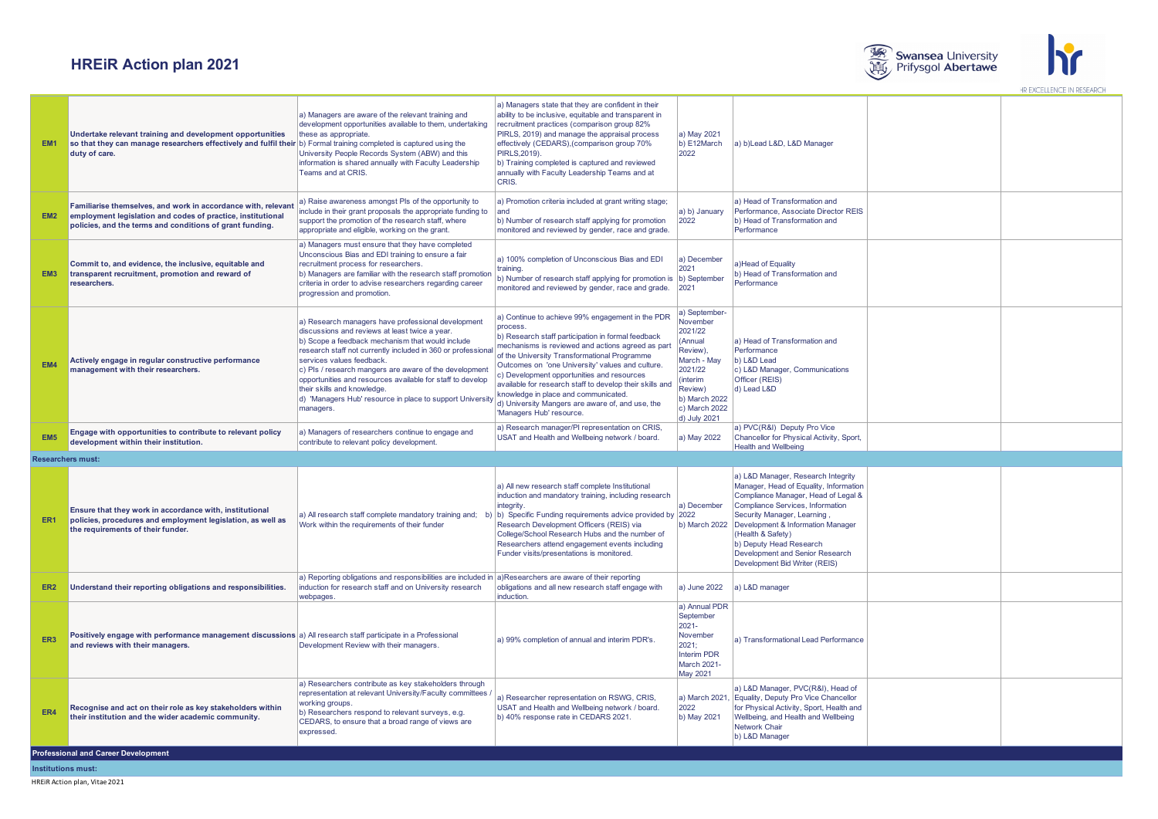



| EM <sub>1</sub> | Undertake relevant training and development opportunities<br>so that they can manage researchers effectively and fulfil their b) Formal training completed is captured using the<br>duty of care. | a) Managers are aware of the relevant training and<br>development opportunities available to them, undertaking<br>these as appropriate.<br>University People Records System (ABW) and this<br>information is shared annually with Faculty Leadership<br>Teams and at CRIS.                                                                                                                                                                                                             | a) Managers state that they are confident in their<br>ability to be inclusive, equitable and transparent in<br>recruitment practices (comparison group 82%<br>PIRLS, 2019) and manage the appraisal process<br>effectively (CEDARS), (comparison group 70%<br>PIRLS, 2019).<br>b) Training completed is captured and reviewed<br>annually with Faculty Leadership Teams and at<br>CRIS.                                                                                                                       | a) May 2021<br>b) E12March<br>2022                                                                                                                             | a) b)Lead L&D, L&D Manager                                                                                                                                                                                                                                                                                                                     |                    |  |  |  |  |  |  |  |  |  |
|-----------------|---------------------------------------------------------------------------------------------------------------------------------------------------------------------------------------------------|----------------------------------------------------------------------------------------------------------------------------------------------------------------------------------------------------------------------------------------------------------------------------------------------------------------------------------------------------------------------------------------------------------------------------------------------------------------------------------------|---------------------------------------------------------------------------------------------------------------------------------------------------------------------------------------------------------------------------------------------------------------------------------------------------------------------------------------------------------------------------------------------------------------------------------------------------------------------------------------------------------------|----------------------------------------------------------------------------------------------------------------------------------------------------------------|------------------------------------------------------------------------------------------------------------------------------------------------------------------------------------------------------------------------------------------------------------------------------------------------------------------------------------------------|--------------------|--|--|--|--|--|--|--|--|--|
| EM <sub>2</sub> | Familiarise themselves, and work in accordance with, relevan<br>employment legislation and codes of practice, institutional<br>policies, and the terms and conditions of grant funding.           | a) Raise awareness amongst Pls of the opportunity to<br>include in their grant proposals the appropriate funding to<br>support the promotion of the research staff, where<br>appropriate and eligible, working on the grant.                                                                                                                                                                                                                                                           | a) Promotion criteria included at grant writing stage;<br>land<br>b) Number of research staff applying for promotion<br>monitored and reviewed by gender, race and grade.                                                                                                                                                                                                                                                                                                                                     | a) b) January<br>2022                                                                                                                                          | a) Head of Transformation and<br>Performance, Associate Director REIS<br>b) Head of Transformation and<br>Performance                                                                                                                                                                                                                          |                    |  |  |  |  |  |  |  |  |  |
| EM <sub>3</sub> | Commit to, and evidence, the inclusive, equitable and<br>transparent recruitment, promotion and reward of<br>researchers.                                                                         | a) Managers must ensure that they have completed<br>Unconscious Bias and EDI training to ensure a fair<br>recruitment process for researchers.<br>b) Managers are familiar with the research staff promotion<br>criteria in order to advise researchers regarding career<br>progression and promotion.                                                                                                                                                                                 | a) 100% completion of Unconscious Bias and EDI<br>training.<br>b) Number of research staff applying for promotion is (b) September<br>monitored and reviewed by gender, race and grade.                                                                                                                                                                                                                                                                                                                       | a) December<br>2021<br>2021                                                                                                                                    | a)Head of Equality<br>b) Head of Transformation and<br>Performance                                                                                                                                                                                                                                                                             |                    |  |  |  |  |  |  |  |  |  |
| EM4             | Actively engage in regular constructive performance<br>management with their researchers.                                                                                                         | a) Research managers have professional development<br>discussions and reviews at least twice a year.<br>b) Scope a feedback mechanism that would include<br>research staff not currently included in 360 or professional<br>services values feedback.<br>c) Pls / research mangers are aware of the development<br>opportunities and resources available for staff to develop<br>their skills and knowledge.<br>d) 'Managers Hub' resource in place to support University<br>managers. | a) Continue to achieve 99% engagement in the PDR<br>process.<br>b) Research staff participation in formal feedback<br>mechanisms is reviewed and actions agreed as part<br>of the University Transformational Programme<br>Outcomes on 'one University' values and culture.<br>c) Development opportunities and resources<br>available for research staff to develop their skills and<br>knowledge in place and communicated.<br>d) University Mangers are aware of, and use, the<br>'Managers Hub' resource. | a) September-<br>November<br>2021/22<br>(Annual<br>Review),<br>March - May<br>2021/22<br>(interim<br>Review)<br>b) March 2022<br>c) March 2022<br>d) July 2021 | a) Head of Transformation and<br>Performance<br>b) L&D Lead<br>c) L&D Manager, Communications<br>Officer (REIS)<br>d) Lead L&D                                                                                                                                                                                                                 |                    |  |  |  |  |  |  |  |  |  |
| EM <sub>5</sub> | Engage with opportunities to contribute to relevant policy<br>development within their institution.                                                                                               | a) Managers of researchers continue to engage and<br>contribute to relevant policy development.                                                                                                                                                                                                                                                                                                                                                                                        | a) Research manager/PI representation on CRIS,<br>USAT and Health and Wellbeing network / board.                                                                                                                                                                                                                                                                                                                                                                                                              | a) May 2022                                                                                                                                                    | a) PVC(R&I) Deputy Pro Vice<br>Chancellor for Physical Activity, Sport,<br><b>Health and Wellbeing</b>                                                                                                                                                                                                                                         |                    |  |  |  |  |  |  |  |  |  |
|                 | <b>Researchers must:</b>                                                                                                                                                                          |                                                                                                                                                                                                                                                                                                                                                                                                                                                                                        |                                                                                                                                                                                                                                                                                                                                                                                                                                                                                                               |                                                                                                                                                                |                                                                                                                                                                                                                                                                                                                                                |                    |  |  |  |  |  |  |  |  |  |
| ER <sub>1</sub> | Ensure that they work in accordance with, institutional<br>policies, procedures and employment legislation, as well as<br>the requirements of their funder.                                       | a) All research staff complete mandatory training and;<br>Work within the requirements of their funder                                                                                                                                                                                                                                                                                                                                                                                 | a) All new research staff complete Institutional<br>induction and mandatory training, including research<br>integrity.<br>b) Specific Funding requirements advice provided by 2022<br>Research Development Officers (REIS) via<br>College/School Research Hubs and the number of<br>Researchers attend engagement events including<br>Funder visits/presentations is monitored.                                                                                                                               | a) December<br>b) March 2022                                                                                                                                   | a) L&D Manager, Research Integrity<br>Manager, Head of Equality, Information<br>Compliance Manager, Head of Legal &<br>Compliance Services, Information<br>Security Manager, Learning<br>Development & Information Manager<br>(Health & Safety)<br>b) Deputy Head Research<br>Development and Senior Research<br>Development Bid Writer (REIS) |                    |  |  |  |  |  |  |  |  |  |
| ER <sub>2</sub> | Understand their reporting obligations and responsibilities.                                                                                                                                      | a) Reporting obligations and responsibilities are included in $ a\rangle$ Researchers are aware of their reporting<br>induction for research staff and on University research<br>webpages                                                                                                                                                                                                                                                                                              | obligations and all new research staff engage with<br>induction.                                                                                                                                                                                                                                                                                                                                                                                                                                              | a) June 2022                                                                                                                                                   | a) L&D manager                                                                                                                                                                                                                                                                                                                                 |                    |  |  |  |  |  |  |  |  |  |
| ER <sub>3</sub> | Positively engage with performance management discussions a) All research staff participate in a Professional<br>and reviews with their managers.                                                 | Development Review with their managers.                                                                                                                                                                                                                                                                                                                                                                                                                                                | a) 99% completion of annual and interim PDR's                                                                                                                                                                                                                                                                                                                                                                                                                                                                 | a) Annual PDR<br>September<br>2021-<br>November<br>2021:<br><b>Interim PDR</b><br>March 2021-<br><b>May 2021</b>                                               | a) Transformational Lead Performance                                                                                                                                                                                                                                                                                                           |                    |  |  |  |  |  |  |  |  |  |
| FR4             | Recognise and act on their role as key stakeholders within<br>their institution and the wider academic community.                                                                                 | a) Researchers contribute as key stakeholders through<br>representation at relevant University/Faculty committees<br>working groups.<br>b) Researchers respond to relevant surveys, e.g.<br>CEDARS, to ensure that a broad range of views are<br>expressed.                                                                                                                                                                                                                            | a) Researcher representation on RSWG, CRIS,<br>USAT and Health and Wellbeing network / board.<br>b) 40% response rate in CEDARS 2021.                                                                                                                                                                                                                                                                                                                                                                         | a) March 2021,<br>2022<br>b) May 2021                                                                                                                          | a) L&D Manager, PVC(R&I), Head of<br>Equality, Deputy Pro Vice Chancellor<br>for Physical Activity, Sport, Health and<br>Wellbeing, and Health and Wellbeing<br>Network Chair<br>b) L&D Manager                                                                                                                                                |                    |  |  |  |  |  |  |  |  |  |
|                 | <b>Professional and Career Development</b>                                                                                                                                                        |                                                                                                                                                                                                                                                                                                                                                                                                                                                                                        |                                                                                                                                                                                                                                                                                                                                                                                                                                                                                                               |                                                                                                                                                                |                                                                                                                                                                                                                                                                                                                                                |                    |  |  |  |  |  |  |  |  |  |
|                 |                                                                                                                                                                                                   |                                                                                                                                                                                                                                                                                                                                                                                                                                                                                        |                                                                                                                                                                                                                                                                                                                                                                                                                                                                                                               |                                                                                                                                                                |                                                                                                                                                                                                                                                                                                                                                | Institutions must: |  |  |  |  |  |  |  |  |  |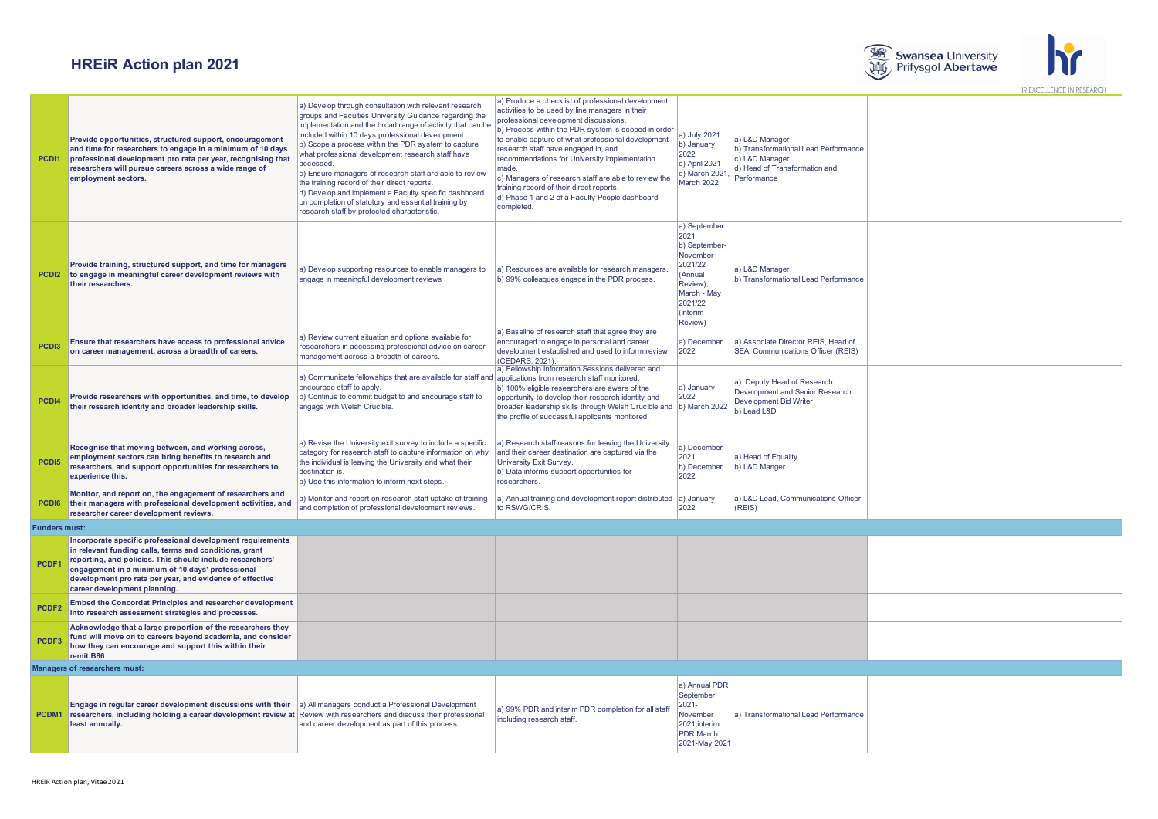



| PCD <sub>11</sub>    | Provide opportunities, structured support, encouragement<br>and time for researchers to engage in a minimum of 10 days<br>professional development pro rata per year, recognising that<br>researchers will pursue careers across a wide range of<br>employment sectors.                                                           | a) Develop through consultation with relevant research<br>groups and Faculties University Guidance regarding the<br>implementation and the broad range of activity that can be<br>included within 10 days professional development.<br>b) Scope a process within the PDR system to capture<br>what professional development research staff have<br>accessed.<br>c) Ensure managers of research staff are able to review<br>the training record of their direct reports.<br>d) Develop and implement a Faculty specific dashboard<br>on completion of statutory and essential training by<br>research staff by protected characteristic. | a) Produce a checklist of professional development<br>activities to be used by line managers in their<br>professional development discussions.<br>b) Process within the PDR system is scoped in order<br>to enable capture of what professional development<br>research staff have engaged in, and<br>recommendations for University implementation<br>made.<br>c) Managers of research staff are able to review the<br>training record of their direct reports.<br>d) Phase 1 and 2 of a Faculty People dashboard<br>completed. | a) July 2021<br>b) January<br>2022<br>c) April 2021<br>d) March 2021,<br><b>March 2022</b>                                           | a) L&D Manager<br>b) Transformational Lead Performance<br>c) L&D Manager<br>d) Head of Transformation and<br>Performance |  |
|----------------------|-----------------------------------------------------------------------------------------------------------------------------------------------------------------------------------------------------------------------------------------------------------------------------------------------------------------------------------|-----------------------------------------------------------------------------------------------------------------------------------------------------------------------------------------------------------------------------------------------------------------------------------------------------------------------------------------------------------------------------------------------------------------------------------------------------------------------------------------------------------------------------------------------------------------------------------------------------------------------------------------|----------------------------------------------------------------------------------------------------------------------------------------------------------------------------------------------------------------------------------------------------------------------------------------------------------------------------------------------------------------------------------------------------------------------------------------------------------------------------------------------------------------------------------|--------------------------------------------------------------------------------------------------------------------------------------|--------------------------------------------------------------------------------------------------------------------------|--|
|                      | Provide training, structured support, and time for managers<br><b>PCDI2</b> to engage in meaningful career development reviews with<br>their researchers.                                                                                                                                                                         | a) Develop supporting resources to enable managers to<br>engage in meaningful development reviews                                                                                                                                                                                                                                                                                                                                                                                                                                                                                                                                       | a) Resources are available for research managers<br>b) 99% colleagues engage in the PDR process.                                                                                                                                                                                                                                                                                                                                                                                                                                 | a) September<br>2021<br>b) September-<br>November<br>2021/22<br>(Annual<br>Review).<br>March - Mav<br>2021/22<br>(interim<br>Review) | a) L&D Manager<br>b) Transformational Lead Performance                                                                   |  |
| PCD <sub>13</sub>    | Ensure that researchers have access to professional advice<br>on career management, across a breadth of careers.                                                                                                                                                                                                                  | a) Review current situation and options available for<br>researchers in accessing professional advice on career<br>management across a breadth of careers.                                                                                                                                                                                                                                                                                                                                                                                                                                                                              | a) Baseline of research staff that agree they are<br>encouraged to engage in personal and career<br>development established and used to inform review<br>(CEDARS, 2021).                                                                                                                                                                                                                                                                                                                                                         | a) December<br>2022                                                                                                                  | a) Associate Director REIS, Head of<br>SEA, Communications Officer (REIS)                                                |  |
| PCD <sub>14</sub>    | Provide researchers with opportunities, and time, to develop<br>their research identity and broader leadership skills.                                                                                                                                                                                                            | a) Communicate fellowships that are available for staff and applications from research staff monitored.<br>encourage staff to apply.<br>b) Continue to commit budget to and encourage staff to<br>engage with Welsh Crucible.                                                                                                                                                                                                                                                                                                                                                                                                           | a) Fellowship Information Sessions delivered and<br>b) 100% eligible researchers are aware of the<br>opportunity to develop their research identity and<br>broader leadership skills through Welsh Crucible and (b) March 2022<br>the profile of successful applicants monitored.                                                                                                                                                                                                                                                | a) January<br>2022                                                                                                                   | a) Deputy Head of Research<br>Development and Senior Research<br>Development Bid Writer<br>b) Lead L&D                   |  |
| PCD <sub>15</sub>    | Recognise that moving between, and working across,<br>employment sectors can bring benefits to research and<br>researchers, and support opportunities for researchers to<br>experience this.                                                                                                                                      | a) Revise the University exit survey to include a specific<br>category for research staff to capture information on why<br>the individual is leaving the University and what their<br>destination is.<br>b) Use this information to inform next steps.                                                                                                                                                                                                                                                                                                                                                                                  | a) Research staff reasons for leaving the University<br>and their career destination are captured via the<br>University Exit Survey.<br>b) Data informs support opportunities for<br>researchers.                                                                                                                                                                                                                                                                                                                                | a) December<br>2021<br>b) December<br>2022                                                                                           | a) Head of Equality<br>b) L&D Manger                                                                                     |  |
| PCD <sub>16</sub>    | Monitor, and report on, the engagement of researchers and<br>their managers with professional development activities, and<br>researcher career development reviews.                                                                                                                                                               | a) Monitor and report on research staff uptake of training<br>and completion of professional development reviews.                                                                                                                                                                                                                                                                                                                                                                                                                                                                                                                       | a) Annual training and development report distributed a) January<br>to RSWG/CRIS.                                                                                                                                                                                                                                                                                                                                                                                                                                                | 2022                                                                                                                                 | a) L&D Lead, Communications Officer<br>(REIS)                                                                            |  |
| <b>Funders must:</b> |                                                                                                                                                                                                                                                                                                                                   |                                                                                                                                                                                                                                                                                                                                                                                                                                                                                                                                                                                                                                         |                                                                                                                                                                                                                                                                                                                                                                                                                                                                                                                                  |                                                                                                                                      |                                                                                                                          |  |
| PCDF1                | Incorporate specific professional development requirements<br>in relevant funding calls, terms and conditions, grant<br>reporting, and policies. This should include researchers'<br>engagement in a minimum of 10 days' professional<br>development pro rata per year, and evidence of effective<br>career development planning. |                                                                                                                                                                                                                                                                                                                                                                                                                                                                                                                                                                                                                                         |                                                                                                                                                                                                                                                                                                                                                                                                                                                                                                                                  |                                                                                                                                      |                                                                                                                          |  |
| PCDF <sub>2</sub>    | Embed the Concordat Principles and researcher development<br>into research assessment strategies and processes.                                                                                                                                                                                                                   |                                                                                                                                                                                                                                                                                                                                                                                                                                                                                                                                                                                                                                         |                                                                                                                                                                                                                                                                                                                                                                                                                                                                                                                                  |                                                                                                                                      |                                                                                                                          |  |
| PCDF <sub>3</sub>    | Acknowledge that a large proportion of the researchers they<br>fund will move on to careers beyond academia, and consider<br>how they can encourage and support this within their<br>remit.B86                                                                                                                                    |                                                                                                                                                                                                                                                                                                                                                                                                                                                                                                                                                                                                                                         |                                                                                                                                                                                                                                                                                                                                                                                                                                                                                                                                  |                                                                                                                                      |                                                                                                                          |  |
|                      | Managers of researchers must:                                                                                                                                                                                                                                                                                                     |                                                                                                                                                                                                                                                                                                                                                                                                                                                                                                                                                                                                                                         |                                                                                                                                                                                                                                                                                                                                                                                                                                                                                                                                  |                                                                                                                                      |                                                                                                                          |  |
|                      | Engage in regular career development discussions with their<br><b>PCDM1</b> researchers, including holding a career development review at Review with researchers and discuss their professional<br>least annually.                                                                                                               | a) All managers conduct a Professional Development<br>and career development as part of this process.                                                                                                                                                                                                                                                                                                                                                                                                                                                                                                                                   | a) 99% PDR and interim PDR completion for all staff<br>including research staff                                                                                                                                                                                                                                                                                                                                                                                                                                                  | a) Annual PDR<br>September<br>$2021 -$<br>November<br>2021:interim<br><b>PDR</b> March<br>2021-May 2021                              | a) Transformational Lead Performance                                                                                     |  |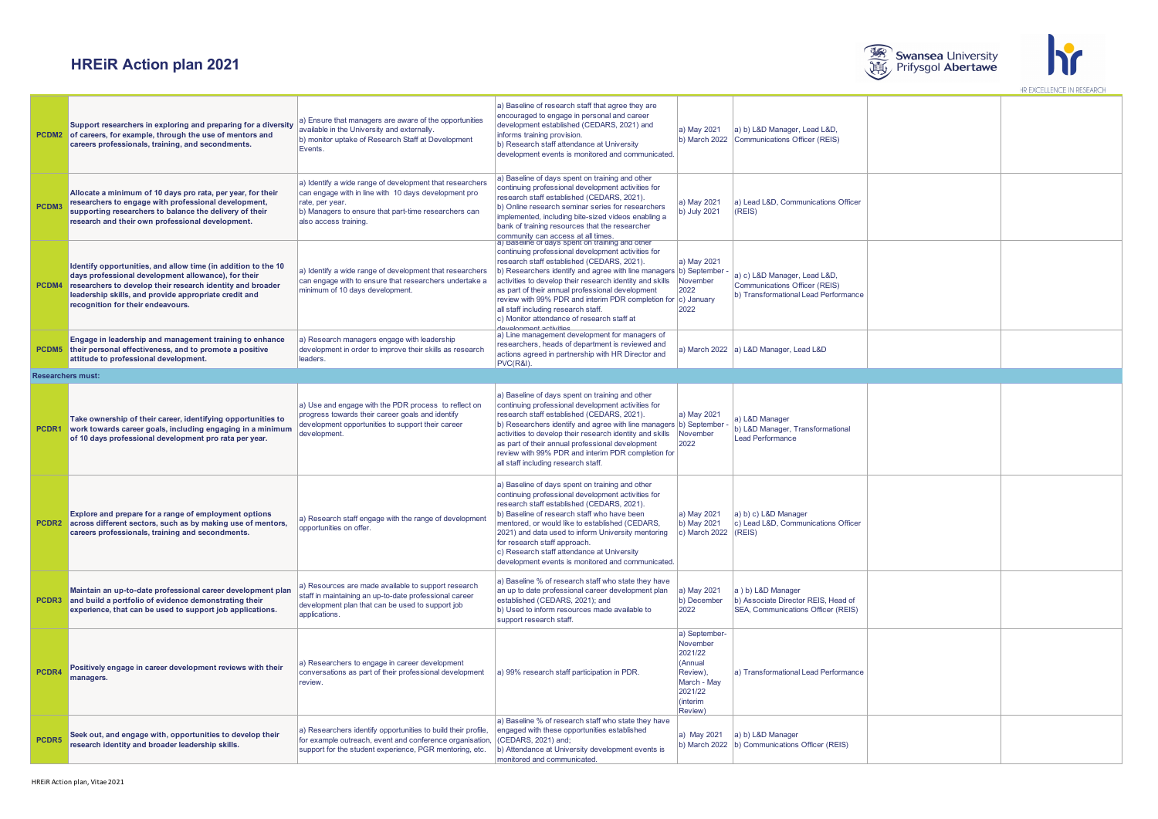



|       | Support researchers in exploring and preparing for a diversity<br><b>PCDM2</b> of careers, for example, through the use of mentors and<br>careers professionals, training, and secondments.                                                                                                   | a) Ensure that managers are aware of the opportunities<br>available in the University and externally.<br>b) monitor uptake of Research Staff at Development<br>Events.                                               | a) Baseline of research staff that agree they are<br>encouraged to engage in personal and career<br>development established (CEDARS, 2021) and<br>informs training provision.<br>b) Research staff attendance at University<br>development events is monitored and communicated.                                                                                                                                                                                                                                         | a) May 2021<br>b) March 2022                                                                                 | a) b) L&D Manager, Lead L&D,<br>Communications Officer (REIS)                                         |  |
|-------|-----------------------------------------------------------------------------------------------------------------------------------------------------------------------------------------------------------------------------------------------------------------------------------------------|----------------------------------------------------------------------------------------------------------------------------------------------------------------------------------------------------------------------|--------------------------------------------------------------------------------------------------------------------------------------------------------------------------------------------------------------------------------------------------------------------------------------------------------------------------------------------------------------------------------------------------------------------------------------------------------------------------------------------------------------------------|--------------------------------------------------------------------------------------------------------------|-------------------------------------------------------------------------------------------------------|--|
| PCDM3 | Allocate a minimum of 10 days pro rata, per year, for their<br>researchers to engage with professional development,<br>supporting researchers to balance the delivery of their<br>research and their own professional development.                                                            | a) Identify a wide range of development that researchers<br>can engage with in line with 10 days development pro<br>rate, per year.<br>b) Managers to ensure that part-time researchers can<br>also access training. | a) Baseline of days spent on training and other<br>continuing professional development activities for<br>research staff established (CEDARS, 2021).<br>b) Online research seminar series for researchers<br>implemented, including bite-sized videos enabling a<br>bank of training resources that the researcher<br>community can access at all times                                                                                                                                                                   | a) May 2021<br>b) July 2021                                                                                  | a) Lead L&D, Communications Officer<br>(REIS)                                                         |  |
|       | Identify opportunities, and allow time (in addition to the 10<br>days professional development allowance), for their<br><b>PCDM4</b> researchers to develop their research identity and broader<br>leadership skills, and provide appropriate credit and<br>recognition for their endeavours. | a) Identify a wide range of development that researchers<br>can engage with to ensure that researchers undertake a<br>minimum of 10 days development.                                                                | a) Baseline of days spent on training and other<br>continuing professional development activities for<br>research staff established (CEDARS, 2021).<br>b) Researchers identify and agree with line managers b) September<br>activities to develop their research identity and skills<br>as part of their annual professional development<br>review with 99% PDR and interim PDR completion for c) January<br>all staff including research staff.<br>c) Monitor attendance of research staff at<br>tayalanmant activities | a) May 2021<br>November<br>2022<br>2022                                                                      | a) c) L&D Manager, Lead L&D,<br>Communications Officer (REIS)<br>b) Transformational Lead Performance |  |
|       | Engage in leadership and management training to enhance<br><b>PCDM5</b> their personal effectiveness, and to promote a positive<br>attitude to professional development.                                                                                                                      | a) Research managers engage with leadership<br>development in order to improve their skills as research<br>leaders.                                                                                                  | a) Line management development for managers of<br>researchers, heads of department is reviewed and<br>actions agreed in partnership with HR Director and<br>PVC(R&I).                                                                                                                                                                                                                                                                                                                                                    |                                                                                                              | a) March 2022 a) L&D Manager, Lead L&D                                                                |  |
|       | <b>Researchers must:</b>                                                                                                                                                                                                                                                                      |                                                                                                                                                                                                                      |                                                                                                                                                                                                                                                                                                                                                                                                                                                                                                                          |                                                                                                              |                                                                                                       |  |
| PCDR1 | Take ownership of their career, identifying opportunities to<br>work towards career goals, including engaging in a minimum<br>of 10 days professional development pro rata per year.                                                                                                          | a) Use and engage with the PDR process to reflect on<br>progress towards their career goals and identify<br>development opportunities to support their career<br>development.                                        | a) Baseline of days spent on training and other<br>continuing professional development activities for<br>research staff established (CEDARS, 2021).<br>b) Researchers identify and agree with line managers b) September<br>activities to develop their research identity and skills<br>as part of their annual professional development<br>review with 99% PDR and interim PDR completion for<br>all staff including research staff.                                                                                    | a) May 2021<br>November<br>2022                                                                              | a) L&D Manager<br>b) L&D Manager, Transformational<br><b>Lead Performance</b>                         |  |
|       | Explore and prepare for a range of employment options<br>PCDR2 across different sectors, such as by making use of mentors,<br>careers professionals, training and secondments.                                                                                                                | a) Research staff engage with the range of development<br>opportunities on offer.                                                                                                                                    | a) Baseline of days spent on training and other<br>continuing professional development activities for<br>research staff established (CEDARS, 2021).<br>b) Baseline of research staff who have been<br>mentored, or would like to established (CEDARS,<br>2021) and data used to inform University mentoring<br>for research staff approach.<br>c) Research staff attendance at University<br>development events is monitored and communicated.                                                                           | a) May 2021<br>b) May 2021<br>c) March 2022                                                                  | a) b) c) L&D Manager<br>c) Lead L&D, Communications Officer<br>(REIS)                                 |  |
|       | Maintain an up-to-date professional career development plan<br><b>PCDR3</b> and build a portfolio of evidence demonstrating their<br>experience, that can be used to support job applications.                                                                                                | a) Resources are made available to support research<br>staff in maintaining an up-to-date professional career<br>development plan that can be used to support job<br>applications.                                   | a) Baseline % of research staff who state they have<br>an up to date professional career development plan<br>established (CEDARS, 2021); and<br>b) Used to inform resources made available to<br>support research staff.                                                                                                                                                                                                                                                                                                 | a) May 2021<br>b) December<br>2022                                                                           | a ) b) L&D Manager<br>b) Associate Director REIS, Head of<br>SEA, Communications Officer (REIS)       |  |
| PCDR4 | Positively engage in career development reviews with their<br>managers.                                                                                                                                                                                                                       | a) Researchers to engage in career development<br>conversations as part of their professional development<br>review.                                                                                                 | a) 99% research staff participation in PDR.                                                                                                                                                                                                                                                                                                                                                                                                                                                                              | a) September-<br>November<br>2021/22<br>(Annual<br>Review),<br>March - May<br>2021/22<br>(interim<br>Review) | a) Transformational Lead Performance                                                                  |  |
| PCDR5 | Seek out, and engage with, opportunities to develop their<br>research identity and broader leadership skills.                                                                                                                                                                                 | a) Researchers identify opportunities to build their profile,<br>for example outreach, event and conference organisation,<br>support for the student experience, PGR mentoring, etc.                                 | a) Baseline % of research staff who state they have<br>engaged with these opportunities established<br>(CEDARS, 2021) and;<br>b) Attendance at University development events is<br>monitored and communicated.                                                                                                                                                                                                                                                                                                           | a) May 2021                                                                                                  | a) b) L&D Manager<br>b) March 2022  b) Communications Officer (REIS)                                  |  |